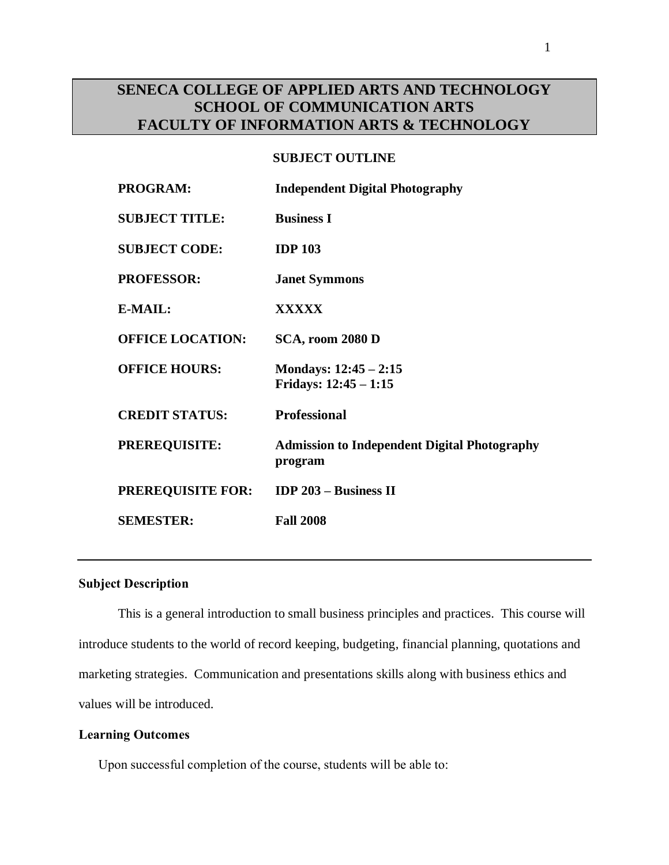# **SENECA COLLEGE OF APPLIED ARTS AND TECHNOLOGY SCHOOL OF COMMUNICATION ARTS FACULTY OF INFORMATION ARTS & TECHNOLOGY**

### **SUBJECT OUTLINE**

| <b>PROGRAM:</b>          | <b>Independent Digital Photography</b>                         |
|--------------------------|----------------------------------------------------------------|
| <b>SUBJECT TITLE:</b>    | <b>Business I</b>                                              |
| <b>SUBJECT CODE:</b>     | <b>IDP 103</b>                                                 |
| <b>PROFESSOR:</b>        | <b>Janet Symmons</b>                                           |
| E-MAIL:                  | <b>XXXXX</b>                                                   |
| <b>OFFICE LOCATION:</b>  | SCA, room 2080 D                                               |
| <b>OFFICE HOURS:</b>     | Mondays: $12:45 - 2:15$<br>Fridays: $12:45 - 1:15$             |
| <b>CREDIT STATUS:</b>    | <b>Professional</b>                                            |
| <b>PREREQUISITE:</b>     | <b>Admission to Independent Digital Photography</b><br>program |
| <b>PREREQUISITE FOR:</b> | <b>IDP 203 - Business II</b>                                   |
| <b>SEMESTER:</b>         | <b>Fall 2008</b>                                               |
|                          |                                                                |

# **Subject Description**

This is a general introduction to small business principles and practices. This course will introduce students to the world of record keeping, budgeting, financial planning, quotations and marketing strategies. Communication and presentations skills along with business ethics and values will be introduced.

# **Learning Outcomes**

Upon successful completion of the course, students will be able to: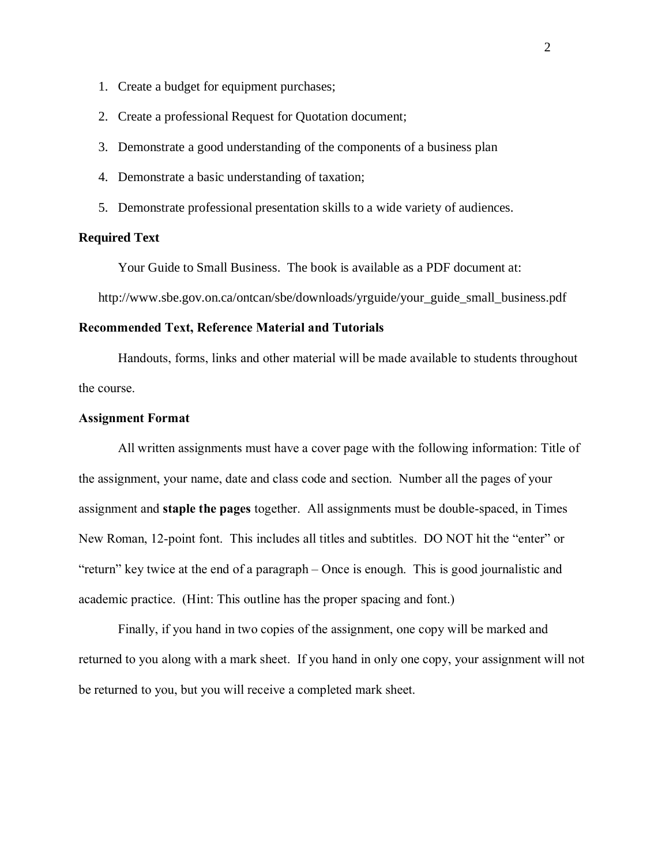- 1. Create a budget for equipment purchases;
- 2. Create a professional Request for Quotation document;
- 3. Demonstrate a good understanding of the components of a business plan
- 4. Demonstrate a basic understanding of taxation;
- 5. Demonstrate professional presentation skills to a wide variety of audiences.

### **Required Text**

Your Guide to Small Business. The book is available as a PDF document at:

http://www.sbe.gov.on.ca/ontcan/sbe/downloads/yrguide/your\_guide\_small\_business.pdf

### **Recommended Text, Reference Material and Tutorials**

Handouts, forms, links and other material will be made available to students throughout the course.

#### **Assignment Format**

All written assignments must have a cover page with the following information: Title of the assignment, your name, date and class code and section. Number all the pages of your assignment and **staple the pages** together. All assignments must be double-spaced, in Times New Roman, 12-point font. This includes all titles and subtitles. DO NOT hit the "enter" or "return" key twice at the end of a paragraph – Once is enough. This is good journalistic and academic practice. (Hint: This outline has the proper spacing and font.)

Finally, if you hand in two copies of the assignment, one copy will be marked and returned to you along with a mark sheet. If you hand in only one copy, your assignment will not be returned to you, but you will receive a completed mark sheet.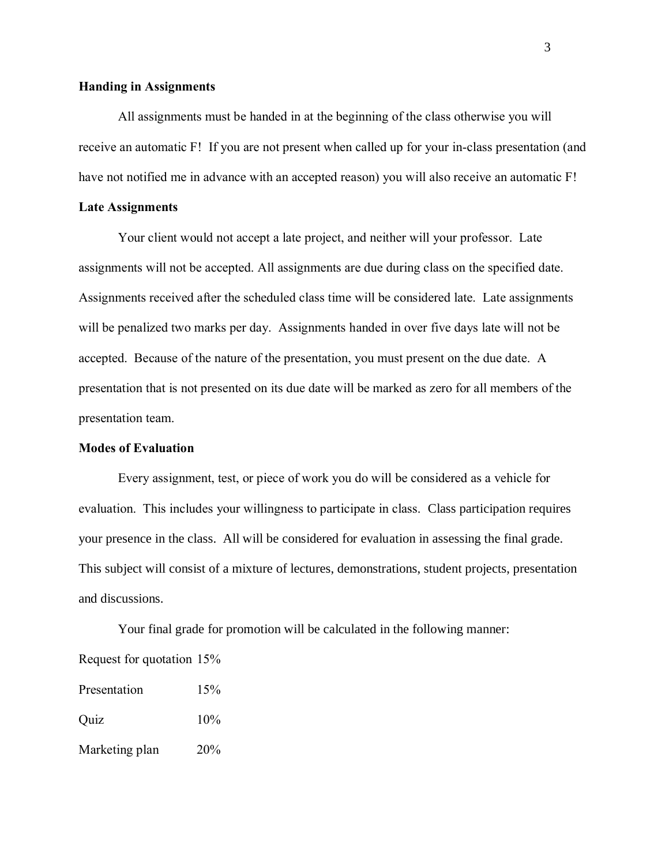### **Handing in Assignments**

All assignments must be handed in at the beginning of the class otherwise you will receive an automatic F! If you are not present when called up for your in-class presentation (and have not notified me in advance with an accepted reason) you will also receive an automatic F!

#### **Late Assignments**

Your client would not accept a late project, and neither will your professor. Late assignments will not be accepted. All assignments are due during class on the specified date. Assignments received after the scheduled class time will be considered late. Late assignments will be penalized two marks per day. Assignments handed in over five days late will not be accepted. Because of the nature of the presentation, you must present on the due date. A presentation that is not presented on its due date will be marked as zero for all members of the presentation team.

### **Modes of Evaluation**

Every assignment, test, or piece of work you do will be considered as a vehicle for evaluation. This includes your willingness to participate in class. Class participation requires your presence in the class. All will be considered for evaluation in assessing the final grade. This subject will consist of a mixture of lectures, demonstrations, student projects, presentation and discussions.

Your final grade for promotion will be calculated in the following manner: Request for quotation 15%

| Presentation   | 15%    |
|----------------|--------|
| Quiz           | $10\%$ |
| Marketing plan | 20%    |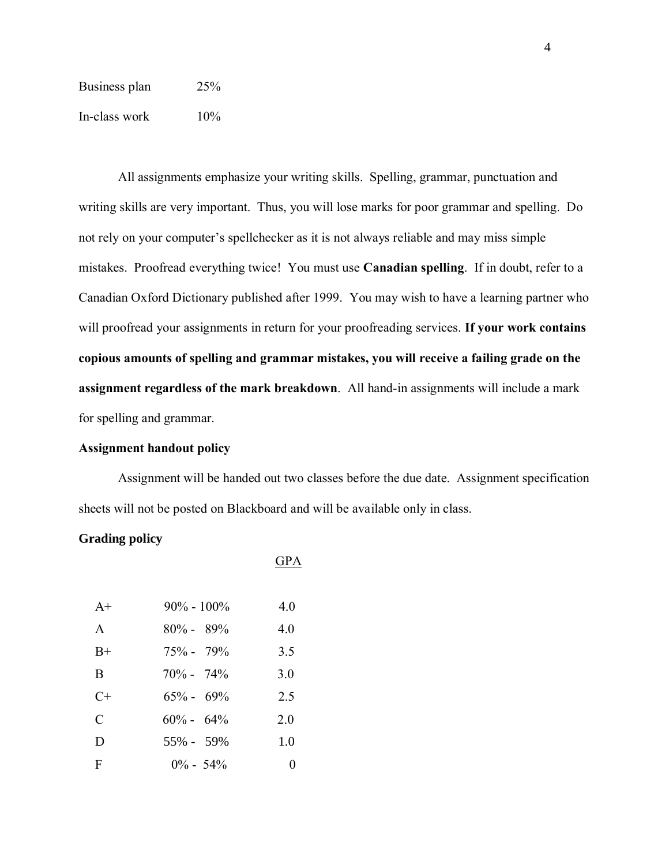| Business plan | 25%    |
|---------------|--------|
| In-class work | $10\%$ |

All assignments emphasize your writing skills. Spelling, grammar, punctuation and writing skills are very important. Thus, you will lose marks for poor grammar and spelling. Do not rely on your computer's spellchecker as it is not always reliable and may miss simple mistakes. Proofread everything twice! You must use **Canadian spelling**. If in doubt, refer to a Canadian Oxford Dictionary published after 1999. You may wish to have a learning partner who will proofread your assignments in return for your proofreading services. **If your work contains copious amounts of spelling and grammar mistakes, you will receive a failing grade on the assignment regardless of the mark breakdown**. All hand-in assignments will include a mark for spelling and grammar.

### **Assignment handout policy**

Assignment will be handed out two classes before the due date. Assignment specification sheets will not be posted on Blackboard and will be available only in class.

GPA

### **Grading policy**

A+  $90\% - 100\%$  4.0 A  $80\% - 89\%$  4.0 B+  $75\%$  -  $79\%$  3.5 B  $70\% - 74\%$  3.0 C+  $65\% - 69\%$  2.5 C  $60\% - 64\%$  2.0 D  $55\% - 59\%$  1.0 F  $0\%$  - 54% 0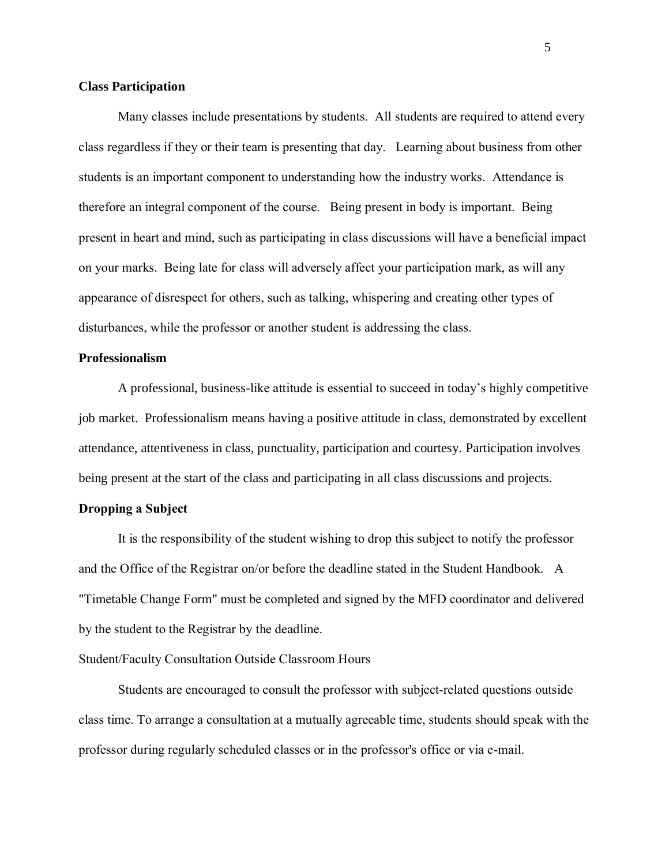## **Class Participation**

Many classes include presentations by students. All students are required to attend every class regardless if they or their team is presenting that day. Learning about business from other students is an important component to understanding how the industry works. Attendance is therefore an integral component of the course. Being present in body is important. Being present in heart and mind, such as participating in class discussions will have a beneficial impact on your marks. Being late for class will adversely affect your participation mark, as will any appearance of disrespect for others, such as talking, whispering and creating other types of disturbances, while the professor or another student is addressing the class.

### **Professionalism**

A professional, business-like attitude is essential to succeed in today's highly competitive job market. Professionalism means having a positive attitude in class, demonstrated by excellent attendance, attentiveness in class, punctuality, participation and courtesy. Participation involves being present at the start of the class and participating in all class discussions and projects.

### **Dropping a Subject**

It is the responsibility of the student wishing to drop this subject to notify the professor and the Office of the Registrar on/or before the deadline stated in the Student Handbook. A "Timetable Change Form" must be completed and signed by the MFD coordinator and delivered by the student to the Registrar by the deadline.

## Student/Faculty Consultation Outside Classroom Hours

Students are encouraged to consult the professor with subject-related questions outside class time. To arrange a consultation at a mutually agreeable time, students should speak with the professor during regularly scheduled classes or in the professor's office or via e-mail.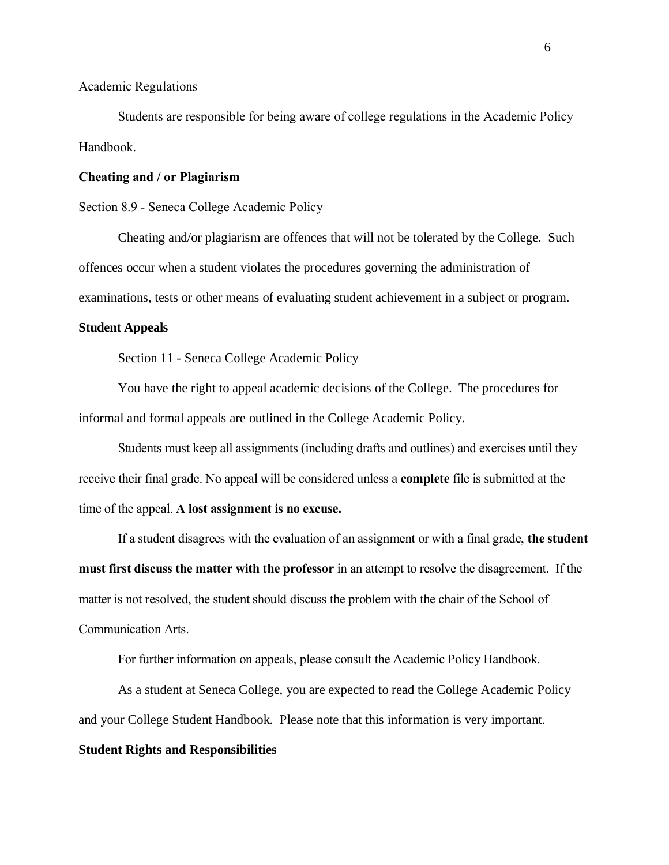Academic Regulations

Students are responsible for being aware of college regulations in the Academic Policy Handbook.

### **Cheating and / or Plagiarism**

Section 8.9 - Seneca College Academic Policy

Cheating and/or plagiarism are offences that will not be tolerated by the College. Such offences occur when a student violates the procedures governing the administration of examinations, tests or other means of evaluating student achievement in a subject or program.

### **Student Appeals**

Section 11 - Seneca College Academic Policy

You have the right to appeal academic decisions of the College. The procedures for informal and formal appeals are outlined in the College Academic Policy.

Students must keep all assignments (including drafts and outlines) and exercises until they receive their final grade. No appeal will be considered unless a **complete** file is submitted at the time of the appeal. **A lost assignment is no excuse.**

If a student disagrees with the evaluation of an assignment or with a final grade, **the student must first discuss the matter with the professor** in an attempt to resolve the disagreement. If the matter is not resolved, the student should discuss the problem with the chair of the School of Communication Arts.

For further information on appeals, please consult the Academic Policy Handbook.

As a student at Seneca College, you are expected to read the College Academic Policy and your College Student Handbook. Please note that this information is very important.

#### **Student Rights and Responsibilities**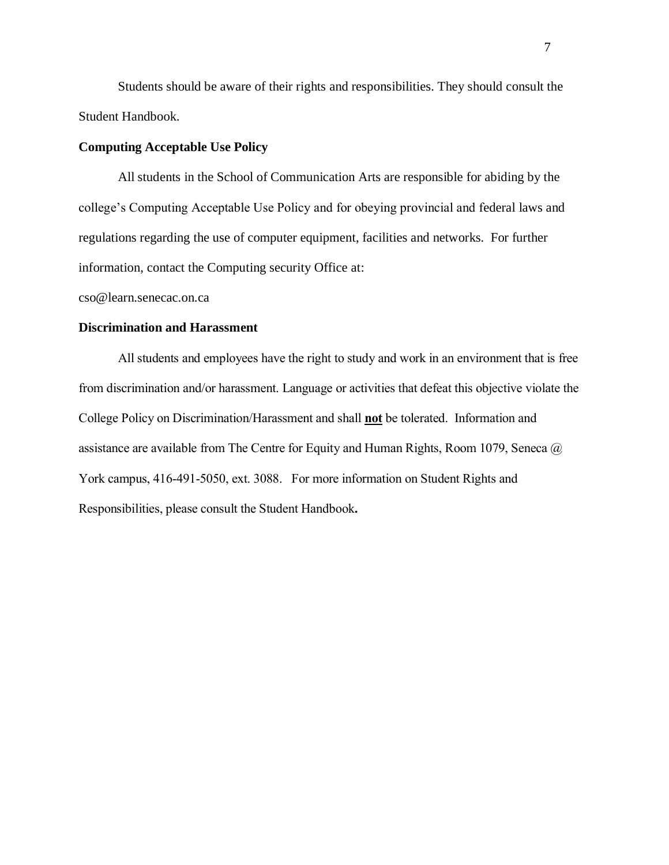Students should be aware of their rights and responsibilities. They should consult the Student Handbook.

### **Computing Acceptable Use Policy**

All students in the School of Communication Arts are responsible for abiding by the college's Computing Acceptable Use Policy and for obeying provincial and federal laws and regulations regarding the use of computer equipment, facilities and networks. For further information, contact the Computing security Office at:

cso@learn.senecac.on.ca

#### **Discrimination and Harassment**

All students and employees have the right to study and work in an environment that is free from discrimination and/or harassment. Language or activities that defeat this objective violate the College Policy on Discrimination/Harassment and shall **not** be tolerated. Information and assistance are available from The Centre for Equity and Human Rights, Room 1079, Seneca @ York campus, 416-491-5050, ext. 3088. For more information on Student Rights and Responsibilities, please consult the Student Handbook**.**